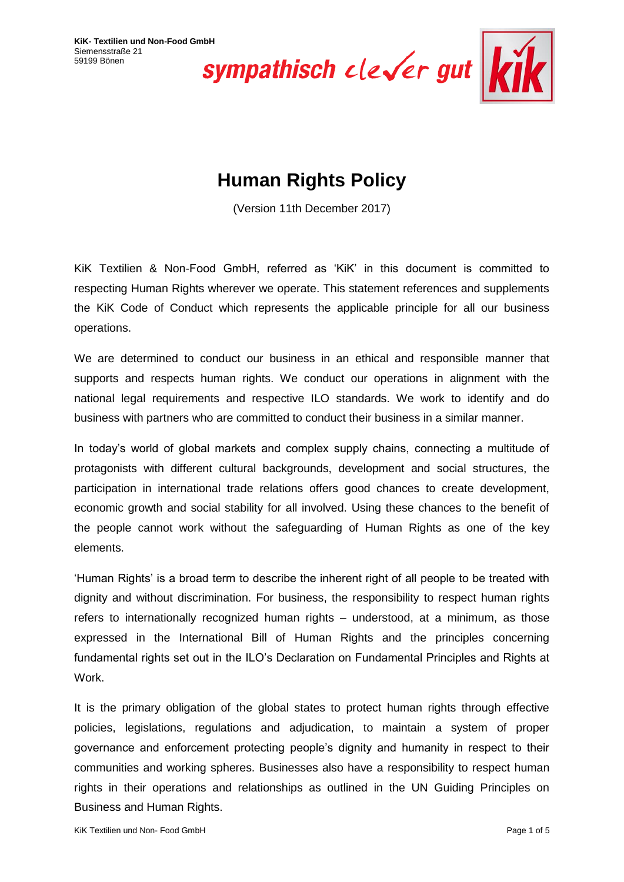

# **Human Rights Policy**

(Version 11th December 2017)

KiK Textilien & Non-Food GmbH, referred as 'KiK' in this document is committed to respecting Human Rights wherever we operate. This statement references and supplements the KiK Code of Conduct which represents the applicable principle for all our business operations.

We are determined to conduct our business in an ethical and responsible manner that supports and respects human rights. We conduct our operations in alignment with the national legal requirements and respective ILO standards. We work to identify and do business with partners who are committed to conduct their business in a similar manner.

In today's world of global markets and complex supply chains, connecting a multitude of protagonists with different cultural backgrounds, development and social structures, the participation in international trade relations offers good chances to create development, economic growth and social stability for all involved. Using these chances to the benefit of the people cannot work without the safeguarding of Human Rights as one of the key elements.

'Human Rights' is a broad term to describe the inherent right of all people to be treated with dignity and without discrimination. For business, the responsibility to respect human rights refers to internationally recognized human rights – understood, at a minimum, as those expressed in the International Bill of Human Rights and the principles concerning fundamental rights set out in the ILO's Declaration on Fundamental Principles and Rights at Work.

It is the primary obligation of the global states to protect human rights through effective policies, legislations, regulations and adjudication, to maintain a system of proper governance and enforcement protecting people's dignity and humanity in respect to their communities and working spheres. Businesses also have a responsibility to respect human rights in their operations and relationships as outlined in the UN Guiding Principles on Business and Human Rights.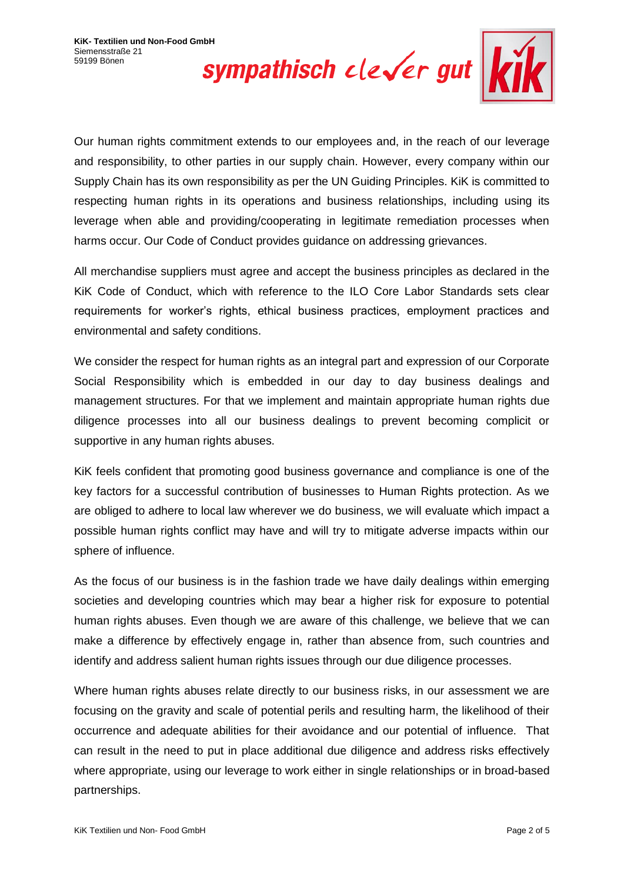

Our human rights commitment extends to our employees and, in the reach of our leverage and responsibility, to other parties in our supply chain. However, every company within our Supply Chain has its own responsibility as per the UN Guiding Principles. KiK is committed to respecting human rights in its operations and business relationships, including using its leverage when able and providing/cooperating in legitimate remediation processes when harms occur. Our Code of Conduct provides guidance on addressing grievances.

All merchandise suppliers must agree and accept the business principles as declared in the KiK Code of Conduct, which with reference to the ILO Core Labor Standards sets clear requirements for worker's rights, ethical business practices, employment practices and environmental and safety conditions.

We consider the respect for human rights as an integral part and expression of our Corporate Social Responsibility which is embedded in our day to day business dealings and management structures. For that we implement and maintain appropriate human rights due diligence processes into all our business dealings to prevent becoming complicit or supportive in any human rights abuses.

KiK feels confident that promoting good business governance and compliance is one of the key factors for a successful contribution of businesses to Human Rights protection. As we are obliged to adhere to local law wherever we do business, we will evaluate which impact a possible human rights conflict may have and will try to mitigate adverse impacts within our sphere of influence.

As the focus of our business is in the fashion trade we have daily dealings within emerging societies and developing countries which may bear a higher risk for exposure to potential human rights abuses. Even though we are aware of this challenge, we believe that we can make a difference by effectively engage in, rather than absence from, such countries and identify and address salient human rights issues through our due diligence processes.

Where human rights abuses relate directly to our business risks, in our assessment we are focusing on the gravity and scale of potential perils and resulting harm, the likelihood of their occurrence and adequate abilities for their avoidance and our potential of influence. That can result in the need to put in place additional due diligence and address risks effectively where appropriate, using our leverage to work either in single relationships or in broad-based partnerships.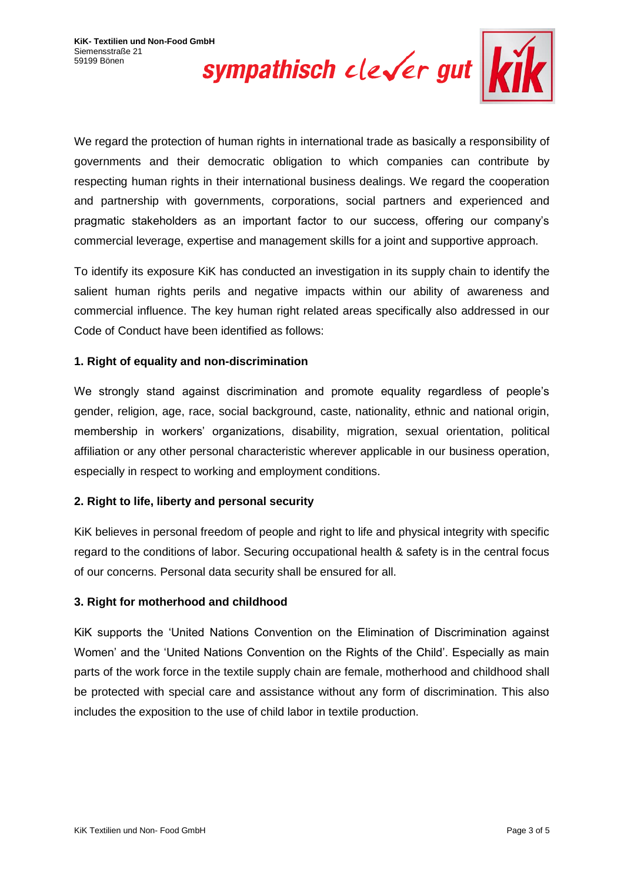

We regard the protection of human rights in international trade as basically a responsibility of governments and their democratic obligation to which companies can contribute by respecting human rights in their international business dealings. We regard the cooperation and partnership with governments, corporations, social partners and experienced and pragmatic stakeholders as an important factor to our success, offering our company's commercial leverage, expertise and management skills for a joint and supportive approach.

To identify its exposure KiK has conducted an investigation in its supply chain to identify the salient human rights perils and negative impacts within our ability of awareness and commercial influence. The key human right related areas specifically also addressed in our Code of Conduct have been identified as follows:

# **1. Right of equality and non-discrimination**

We strongly stand against discrimination and promote equality regardless of people's gender, religion, age, race, social background, caste, nationality, ethnic and national origin, membership in workers' organizations, disability, migration, sexual orientation, political affiliation or any other personal characteristic wherever applicable in our business operation, especially in respect to working and employment conditions.

## **2. Right to life, liberty and personal security**

KiK believes in personal freedom of people and right to life and physical integrity with specific regard to the conditions of labor. Securing occupational health & safety is in the central focus of our concerns. Personal data security shall be ensured for all.

## **3. Right for motherhood and childhood**

KiK supports the 'United Nations Convention on the Elimination of Discrimination against Women' and the 'United Nations Convention on the Rights of the Child'. Especially as main parts of the work force in the textile supply chain are female, motherhood and childhood shall be protected with special care and assistance without any form of discrimination. This also includes the exposition to the use of child labor in textile production.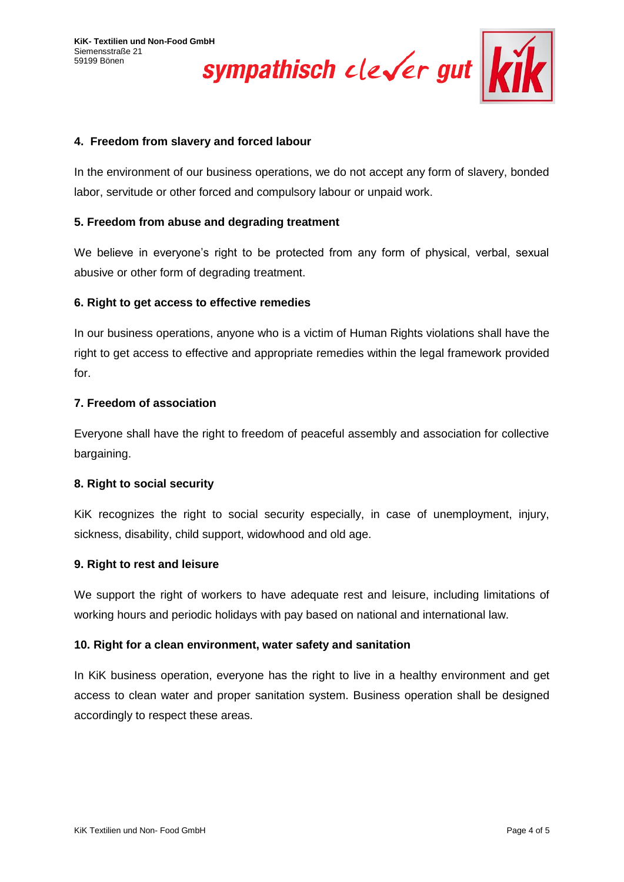KiK- Textilien und Non-Food GmbH<br>Siemensstraße 21<br>59199 Bönen<br>**Sympathisch** clever gut



## **4. Freedom from slavery and forced labour**

In the environment of our business operations, we do not accept any form of slavery, bonded labor, servitude or other forced and compulsory labour or unpaid work.

## **5. Freedom from abuse and degrading treatment**

We believe in everyone's right to be protected from any form of physical, verbal, sexual abusive or other form of degrading treatment.

### **6. Right to get access to effective remedies**

In our business operations, anyone who is a victim of Human Rights violations shall have the right to get access to effective and appropriate remedies within the legal framework provided for.

### **7. Freedom of association**

Everyone shall have the right to freedom of peaceful assembly and association for collective bargaining.

#### **8. Right to social security**

KiK recognizes the right to social security especially, in case of unemployment, injury, sickness, disability, child support, widowhood and old age.

#### **9. Right to rest and leisure**

We support the right of workers to have adequate rest and leisure, including limitations of working hours and periodic holidays with pay based on national and international law.

## **10. Right for a clean environment, water safety and sanitation**

In KiK business operation, everyone has the right to live in a healthy environment and get access to clean water and proper sanitation system. Business operation shall be designed accordingly to respect these areas.